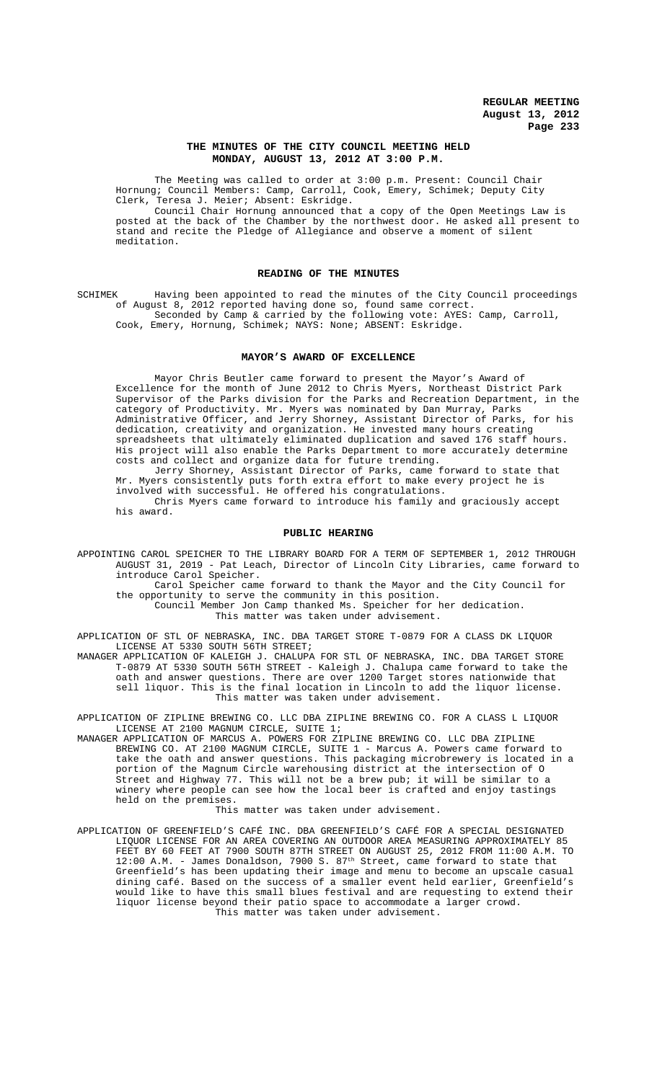# **THE MINUTES OF THE CITY COUNCIL MEETING HELD MONDAY, AUGUST 13, 2012 AT 3:00 P.M.**

The Meeting was called to order at 3:00 p.m. Present: Council Chair Hornung; Council Members: Camp, Carroll, Cook, Emery, Schimek; Deputy City Clerk, Teresa J. Meier; Absent: Eskridge.

Council Chair Hornung announced that a copy of the Open Meetings Law is posted at the back of the Chamber by the northwest door. He asked all present to stand and recite the Pledge of Allegiance and observe a moment of silent meditation.

# **READING OF THE MINUTES**

SCHIMEK Having been appointed to read the minutes of the City Council proceedings of August 8, 2012 reported having done so, found same correct. Seconded by Camp & carried by the following vote: AYES: Camp, Carroll,

Cook, Emery, Hornung, Schimek; NAYS: None; ABSENT: Eskridge.

## **MAYOR'S AWARD OF EXCELLENCE**

Mayor Chris Beutler came forward to present the Mayor's Award of Excellence for the month of June 2012 to Chris Myers, Northeast District Park Supervisor of the Parks division for the Parks and Recreation Department, in the category of Productivity. Mr. Myers was nominated by Dan Murray, Parks Administrative Officer, and Jerry Shorney, Assistant Director of Parks, for his dedication, creativity and organization. He invested many hours creating spreadsheets that ultimately eliminated duplication and saved 176 staff hours. His project will also enable the Parks Department to more accurately determine costs and collect and organize data for future trending.

Jerry Shorney, Assistant Director of Parks, came forward to state that Mr. Myers consistently puts forth extra effort to make every project he is involved with successful. He offered his congratulations.

Chris Myers came forward to introduce his family and graciously accept his award.

# **PUBLIC HEARING**

APPOINTING CAROL SPEICHER TO THE LIBRARY BOARD FOR A TERM OF SEPTEMBER 1, 2012 THROUGH AUGUST 31, 2019 - Pat Leach, Director of Lincoln City Libraries, came forward to introduce Carol Speicher.

Carol Speicher came forward to thank the Mayor and the City Council for the opportunity to serve the community in this position.

Council Member Jon Camp thanked Ms. Speicher for her dedication.

This matter was taken under advisement.

APPLICATION OF STL OF NEBRASKA, INC. DBA TARGET STORE T-0879 FOR A CLASS DK LIQUOR LICENSE AT 5330 SOUTH 56TH STREET;

MANAGER APPLICATION OF KALEIGH J. CHALUPA FOR STL OF NEBRASKA, INC. DBA TARGET STORE T-0879 AT 5330 SOUTH 56TH STREET - Kaleigh J. Chalupa came forward to take the oath and answer questions. There are over 1200 Target stores nationwide that sell liquor. This is the final location in Lincoln to add the liquor license. This matter was taken under advisement.

APPLICATION OF ZIPLINE BREWING CO. LLC DBA ZIPLINE BREWING CO. FOR A CLASS L LIQUOR LICENSE AT 2100 MAGNUM CIRCLE, SUITE 1;

MANAGER APPLICATION OF MARCUS A. POWERS FOR ZIPLINE BREWING CO. LLC DBA ZIPLINE BREWING CO. AT 2100 MAGNUM CIRCLE, SUITE 1 - Marcus A. Powers came forward to take the oath and answer questions. This packaging microbrewery is located in a portion of the Magnum Circle warehousing district at the intersection of O Street and Highway 77. This will not be a brew pub; it will be similar to a winery where people can see how the local beer is crafted and enjoy tastings held on the premises.

This matter was taken under advisement.

APPLICATION OF GREENFIELD'S CAFÉ INC. DBA GREENFIELD'S CAFÉ FOR A SPECIAL DESIGNATED LIQUOR LICENSE FOR AN AREA COVERING AN OUTDOOR AREA MEASURING APPROXIMATELY 85 FEET BY 60 FEET AT 7900 SOUTH 87TH STREET ON AUGUST 25, 2012 FROM 11:00 A.M. TO  $12:00$  A.M. - James Donaldson,  $7900$  S.  $87^{\text{th}}$  Street, came forward to state that Greenfield's has been updating their image and menu to become an upscale casual dining café. Based on the success of a smaller event held earlier, Greenfield's would like to have this small blues festival and are requesting to extend their liquor license beyond their patio space to accommodate a larger crowd. This matter was taken under advisement.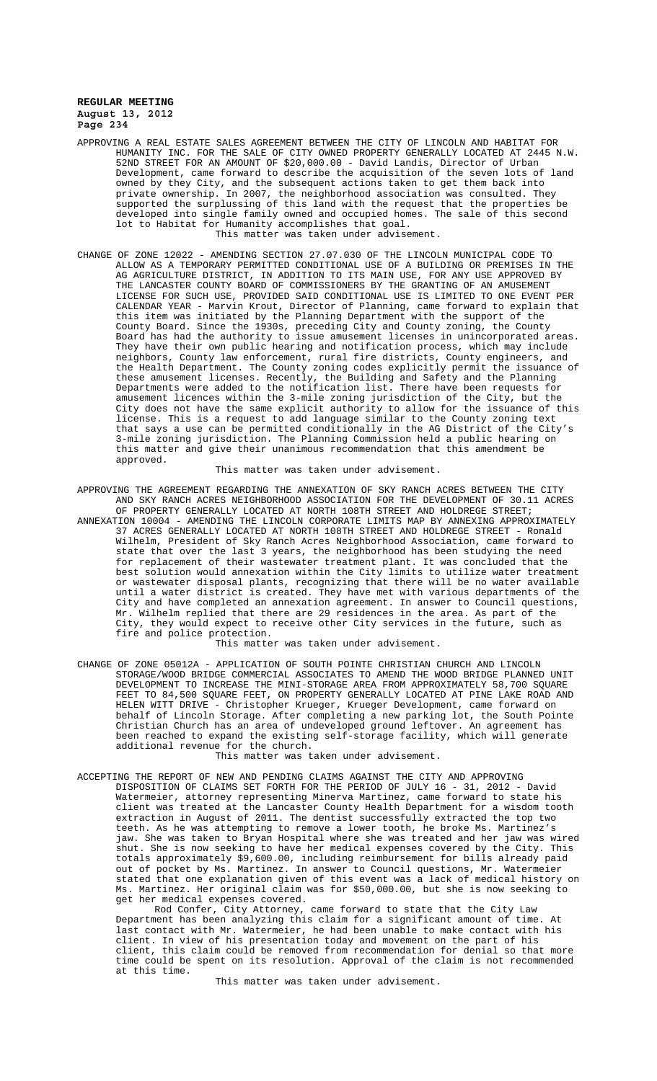- APPROVING A REAL ESTATE SALES AGREEMENT BETWEEN THE CITY OF LINCOLN AND HABITAT FOR HUMANITY INC. FOR THE SALE OF CITY OWNED PROPERTY GENERALLY LOCATED AT 2445 N.W. 52ND STREET FOR AN AMOUNT OF \$20,000.00 - David Landis, Director of Urban Development, came forward to describe the acquisition of the seven lots of land owned by they City, and the subsequent actions taken to get them back into private ownership. In 2007, the neighborhood association was consulted. They supported the surplussing of this land with the request that the properties be developed into single family owned and occupied homes. The sale of this second lot to Habitat for Humanity accomplishes that goal. This matter was taken under advisement.
- CHANGE OF ZONE 12022 AMENDING SECTION 27.07.030 OF THE LINCOLN MUNICIPAL CODE TO ALLOW AS A TEMPORARY PERMITTED CONDITIONAL USE OF A BUILDING OR PREMISES IN THE AG AGRICULTURE DISTRICT, IN ADDITION TO ITS MAIN USE, FOR ANY USE APPROVED BY THE LANCASTER COUNTY BOARD OF COMMISSIONERS BY THE GRANTING OF AN AMUSEMENT LICENSE FOR SUCH USE, PROVIDED SAID CONDITIONAL USE IS LIMITED TO ONE EVENT PER CALENDAR YEAR - Marvin Krout, Director of Planning, came forward to explain that<br>this item was initiated by the Planning Department with the support of the this item was initiated by the Planning Department with the support of County Board. Since the 1930s, preceding City and County zoning, the County Board has had the authority to issue amusement licenses in unincorporated areas. They have their own public hearing and notification process, which may include neighbors, County law enforcement, rural fire districts, County engineers, and the Health Department. The County zoning codes explicitly permit the issuance of these amusement licenses. Recently, the Building and Safety and the Planning Departments were added to the notification list. There have been requests for amusement licences within the 3-mile zoning jurisdiction of the City, but the City does not have the same explicit authority to allow for the issuance of this license. This is a request to add language similar to the County zoning text that says a use can be permitted conditionally in the AG District of the City's 3-mile zoning jurisdiction. The Planning Commission held a public hearing on this matter and give their unanimous recommendation that this amendment be approved.

This matter was taken under advisement.

APPROVING THE AGREEMENT REGARDING THE ANNEXATION OF SKY RANCH ACRES BETWEEN THE CITY AND SKY RANCH ACRES NEIGHBORHOOD ASSOCIATION FOR THE DEVELOPMENT OF 30.11 ACRES OF PROPERTY GENERALLY LOCATED AT NORTH 108TH STREET AND HOLDREGE STREET;

ANNEXATION 10004 - AMENDING THE LINCOLN CORPORATE LIMITS MAP BY ANNEXING APPROXIMATELY 37 ACRES GENERALLY LOCATED AT NORTH 108TH STREET AND HOLDREGE STREET - Ronald Wilhelm, President of Sky Ranch Acres Neighborhood Association, came forward to state that over the last 3 years, the neighborhood has been studying the need for replacement of their wastewater treatment plant. It was concluded that the best solution would annexation within the City limits to utilize water treatment or wastewater disposal plants, recognizing that there will be no water available until a water district is created. They have met with various departments of the City and have completed an annexation agreement. In answer to Council questions, Mr. Wilhelm replied that there are 29 residences in the area. As part of the City, they would expect to receive other City services in the future, such as fire and police protection.

This matter was taken under advisement.

CHANGE OF ZONE 05012A - APPLICATION OF SOUTH POINTE CHRISTIAN CHURCH AND LINCOLN STORAGE/WOOD BRIDGE COMMERCIAL ASSOCIATES TO AMEND THE WOOD BRIDGE PLANNED UNIT DEVELOPMENT TO INCREASE THE MINI-STORAGE AREA FROM APPROXIMATELY 58,700 SQUARE FEET TO 84,500 SQUARE FEET, ON PROPERTY GENERALLY LOCATED AT PINE LAKE ROAD AND HELEN WITT DRIVE - Christopher Krueger, Krueger Development, came forward on behalf of Lincoln Storage. After completing a new parking lot, the South Pointe Christian Church has an area of undeveloped ground leftover. An agreement has been reached to expand the existing self-storage facility, which will generate additional revenue for the church.

This matter was taken under advisement.

ACCEPTING THE REPORT OF NEW AND PENDING CLAIMS AGAINST THE CITY AND APPROVING DISPOSITION OF CLAIMS SET FORTH FOR THE PERIOD OF JULY 16 - 31, 2012 - David Watermeier, attorney representing Minerva Martinez, came forward to state his client was treated at the Lancaster County Health Department for a wisdom tooth extraction in August of 2011. The dentist successfully extracted the top two teeth. As he was attempting to remove a lower tooth, he broke Ms. Martinez's jaw. She was taken to Bryan Hospital where she was treated and her jaw was wired shut. She is now seeking to have her medical expenses covered by the City. This totals approximately \$9,600.00, including reimbursement for bills already paid out of pocket by Ms. Martinez. In answer to Council questions, Mr. Watermeier stated that one explanation given of this event was a lack of medical history on Ms. Martinez. Her original claim was for \$50,000.00, but she is now seeking to get her medical expenses covered.

Rod Confer, City Attorney, came forward to state that the City Law Department has been analyzing this claim for a significant amount of time. At last contact with Mr. Watermeier, he had been unable to make contact with his client. In view of his presentation today and movement on the part of his client, this claim could be removed from recommendation for denial so that more time could be spent on its resolution. Approval of the claim is not recommended at this time.

This matter was taken under advisement.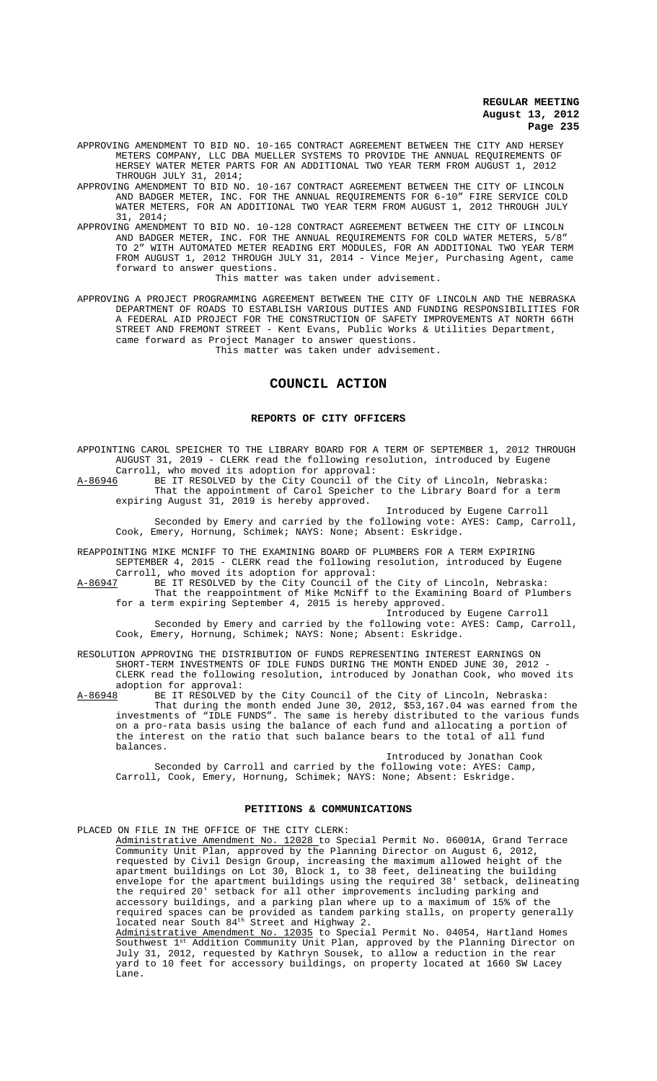APPROVING AMENDMENT TO BID NO. 10-165 CONTRACT AGREEMENT BETWEEN THE CITY AND HERSEY METERS COMPANY, LLC DBA MUELLER SYSTEMS TO PROVIDE THE ANNUAL REQUIREMENTS OF HERSEY WATER METER PARTS FOR AN ADDITIONAL TWO YEAR TERM FROM AUGUST 1, 2012 THROUGH JULY 31, 2014;<br>APPROVING AMENDMENT TO BID NO.

10-167 CONTRACT AGREEMENT BETWEEN THE CITY OF LINCOLN AND BADGER METER, INC. FOR THE ANNUAL REQUIREMENTS FOR 6-10" FIRE SERVICE COLD WATER METERS, FOR AN ADDITIONAL TWO YEAR TERM FROM AUGUST 1, 2012 THROUGH JULY 31, 2014;

APPROVING AMENDMENT TO BID NO. 10-128 CONTRACT AGREEMENT BETWEEN THE CITY OF LINCOLN AND BADGER METER, INC. FOR THE ANNUAL REQUIREMENTS FOR COLD WATER METERS, TO 2" WITH AUTOMATED METER READING ERT MODULES, FOR AN ADDITIONAL TWO YEAR TERM FROM AUGUST 1, 2012 THROUGH JULY 31, 2014 - Vince Mejer, Purchasing Agent, came forward to answer questions.

This matter was taken under advisement.

APPROVING A PROJECT PROGRAMMING AGREEMENT BETWEEN THE CITY OF LINCOLN AND THE NEBRASKA DEPARTMENT OF ROADS TO ESTABLISH VARIOUS DUTIES AND FUNDING RESPONSIBILITIES FOR A FEDERAL AID PROJECT FOR THE CONSTRUCTION OF SAFETY IMPROVEMENTS AT NORTH 66TH STREET AND FREMONT STREET - Kent Evans, Public Works & Utilities Department, came forward as Project Manager to answer questions. This matter was taken under advisement.

# **COUNCIL ACTION**

#### **REPORTS OF CITY OFFICERS**

APPOINTING CAROL SPEICHER TO THE LIBRARY BOARD FOR A TERM OF SEPTEMBER 1, 2012 THROUGH AUGUST 31, 2019 - CLERK read the following resolution, introduced by Eugene Carroll, who moved its adoption for approval:

A-86946 BE IT RESOLVED by the City Council of the City of Lincoln, Nebraska: That the appointment of Carol Speicher to the Library Board for a term expiring August 31, 2019 is hereby approved.

Introduced by Eugene Carroll Seconded by Emery and carried by the following vote: AYES: Camp, Carroll, Cook, Emery, Hornung, Schimek; NAYS: None; Absent: Eskridge.

REAPPOINTING MIKE MCNIFF TO THE EXAMINING BOARD OF PLUMBERS FOR A TERM EXPIRING SEPTEMBER 4, 2015 - CLERK read the following resolution, introduced by Eugene

Carroll, who moved its adoption for approval:<br>A-86947 BE IT RESOLVED by the City Council of t BE IT RESOLVED by the City Council of the City of Lincoln, Nebraska: That the reappointment of Mike McNiff to the Examining Board of Plumbers for a term expiring September 4, 2015 is hereby approved.

Introduced by Eugene Carroll

Seconded by Emery and carried by the following vote: AYES: Camp, Carroll, Cook, Emery, Hornung, Schimek; NAYS: None; Absent: Eskridge.

RESOLUTION APPROVING THE DISTRIBUTION OF FUNDS REPRESENTING INTEREST EARNINGS ON SHORT-TERM INVESTMENTS OF IDLE FUNDS DURING THE MONTH ENDED JUNE 30, 2012 - CLERK read the following resolution, introduced by Jonathan Cook, who moved its adoption for approval:<br>A-86948 BE IT RESOLVED b

A-86948 BE IT RESOLVED by the City Council of the City of Lincoln, Nebraska: That during the month ended June 30, 2012, \$53,167.04 was earned from the investments of "IDLE FUNDS". The same is hereby distributed to the various funds on a pro-rata basis using the balance of each fund and allocating a portion of the interest on the ratio that such balance bears to the total of all fund balances.

Introduced by Jonathan Cook

Seconded by Carroll and carried by the following vote: AYES: Camp, Carroll, Cook, Emery, Hornung, Schimek; NAYS: None; Absent: Eskridge.

#### **PETITIONS & COMMUNICATIONS**

PLACED ON FILE IN THE OFFICE OF THE CITY CLERK: Administrative Amendment No. 12028 to Special Permit No. 06001A, Grand Terrace Community Unit Plan, approved by the Planning Director on August 6, 2012, requested by Civil Design Group, increasing the maximum allowed height of the apartment buildings on Lot 30, Block 1, to 38 feet, delineating the building envelope for the apartment buildings using the required 38' setback, delineating the required 20' setback for all other improvements including parking and accessory buildings, and a parking plan where up to a maximum of 15% of the required spaces can be provided as tandem parking stalls, on property generally located near South 84<sup>th</sup> Street and Highway 2. Administrative Amendment No. 12035 to Special Permit No. 04054, Hartland Homes Southwest 1st Addition Community Unit Plan, approved by the Planning Director on July 31, 2012, requested by Kathryn Sousek, to allow a reduction in the rear yard to 10 feet for accessory buildings, on property located at 1660 SW Lacey Lane.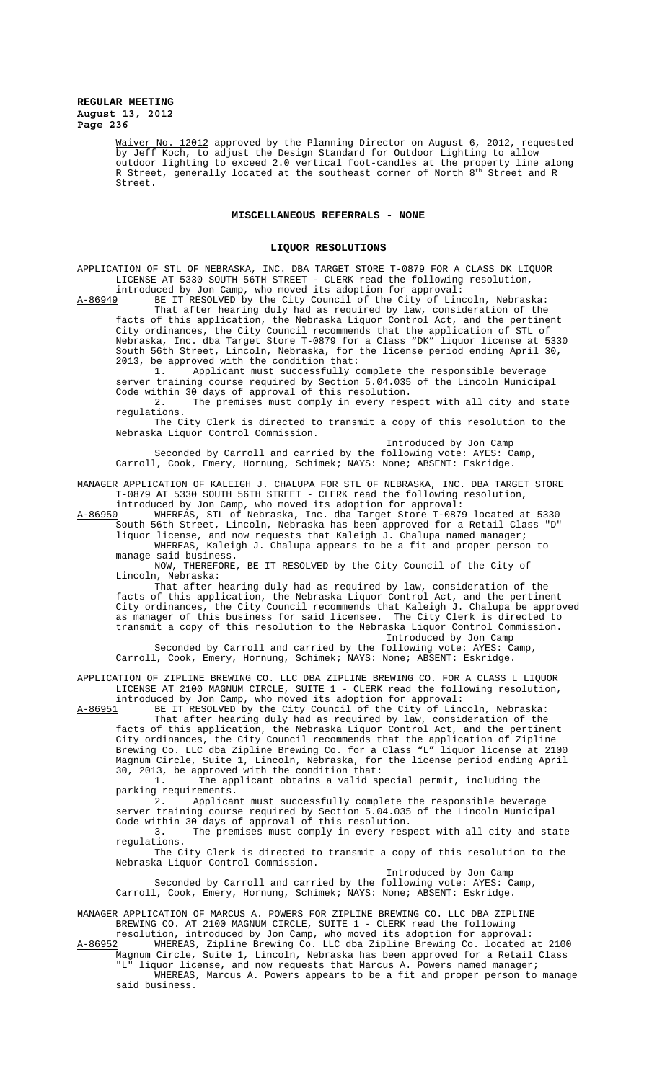> Waiver No. 12012 approved by the Planning Director on August 6, 2012, requested by Jeff Koch, to adjust the Design Standard for Outdoor Lighting to allow outdoor lighting to exceed 2.0 vertical foot-candles at the property line along R Street, generally located at the southeast corner of North 8<sup>th</sup> Street and R Street.

#### **MISCELLANEOUS REFERRALS - NONE**

#### **LIQUOR RESOLUTIONS**

APPLICATION OF STL OF NEBRASKA, INC. DBA TARGET STORE T-0879 FOR A CLASS DK LIQUOR LICENSE AT 5330 SOUTH 56TH STREET - CLERK read the following resolution, introduced by Jon Camp, who moved its adoption for approval:

A-86949 BE IT RESOLVED by the City Council of the City of Lincoln, Nebraska: That after hearing duly had as required by law, consideration of the facts of this application, the Nebraska Liquor Control Act, and the pertinent City ordinances, the City Council recommends that the application of STL of Nebraska, Inc. dba Target Store T-0879 for a Class "DK" liquor license at 5330 South 56th Street, Lincoln, Nebraska, for the license period ending April 30, 2013, be approved with the condition that:

1. Applicant must successfully complete the responsible beverage server training course required by Section 5.04.035 of the Lincoln Municipal Code within 30 days of approval of this resolution.

2. The premises must comply in every respect with all city and state regulations.

The City Clerk is directed to transmit a copy of this resolution to the Nebraska Liquor Control Commission.

Introduced by Jon Camp

Seconded by Carroll and carried by the following vote: AYES: Camp, Carroll, Cook, Emery, Hornung, Schimek; NAYS: None; ABSENT: Eskridge.

MANAGER APPLICATION OF KALEIGH J. CHALUPA FOR STL OF NEBRASKA, INC. DBA TARGET STORE T-0879 AT 5330 SOUTH 56TH STREET - CLERK read the following resolution,

introduced by Jon Camp, who moved its adoption for approval:<br>A-86950 WHEREAS, STL of Nebraska, Inc. dba Target Store T-087 A-86950 WHEREAS, STL of Nebraska, Inc. dba Target Store T-0879 located at 5330 South 56th Street, Lincoln, Nebraska has been approved for a Retail Class "D" liquor license, and now requests that Kaleigh J. Chalupa named manager;

WHEREAS, Kaleigh J. Chalupa appears to be a fit and proper person to manage said business.

NOW, THEREFORE, BE IT RESOLVED by the City Council of the City of Lincoln, Nebraska:

That after hearing duly had as required by law, consideration of the facts of this application, the Nebraska Liquor Control Act, and the pertinent City ordinances, the City Council recommends that Kaleigh J. Chalupa be approved as manager of this business for said licensee. The City Clerk is directed to transmit a copy of this resolution to the Nebraska Liquor Control Commission. Introduced by Jon Camp

Seconded by Carroll and carried by the following vote: AYES: Camp, Carroll, Cook, Emery, Hornung, Schimek; NAYS: None; ABSENT: Eskridge.

APPLICATION OF ZIPLINE BREWING CO. LLC DBA ZIPLINE BREWING CO. FOR A CLASS L LIQUOR LICENSE AT 2100 MAGNUM CIRCLE, SUITE 1 - CLERK read the following resolution,

introduced by Jon Camp, who moved its adoption for approval:<br>A-86951 BE IT RESOLVED by the City Council of the City of Line BE IT RESOLVED by the City Council of the City of Lincoln, Nebraska: That after hearing duly had as required by law, consideration of the

facts of this application, the Nebraska Liquor Control Act, and the pertinent City ordinances, the City Council recommends that the application of Zipline Brewing Co. LLC dba Zipline Brewing Co. for a Class "L" liquor license at 2100 Magnum Circle, Suite 1, Lincoln, Nebraska, for the license period ending April 30, 2013, be approved with the condition that:<br>1. The applicant obtains a valid sp

The applicant obtains a valid special permit, including the parking requirements.

2. Applicant must successfully complete the responsible beverage server training course required by Section 5.04.035 of the Lincoln Municipal Code within 30 days of approval of this resolution.

3. The premises must comply in every respect with all city and state regulations.

The City Clerk is directed to transmit a copy of this resolution to the Nebraska Liquor Control Commission. Introduced by Jon Camp

Seconded by Carroll and carried by the following vote: AYES: Camp, Carroll, Cook, Emery, Hornung, Schimek; NAYS: None; ABSENT: Eskridge.

MANAGER APPLICATION OF MARCUS A. POWERS FOR ZIPLINE BREWING CO. LLC DBA ZIPLINE BREWING CO. AT 2100 MAGNUM CIRCLE, SUITE 1 - CLERK read the following resolution, introduced by Jon Camp, who moved its adoption for approva

resolution, introduced by Jon Camp, who moved its adoption for approval: A-86952 WHEREAS, Zipline Brewing Co. LLC dba Zipline Brewing Co. located at 2100 Magnum Circle, Suite 1, Lincoln, Nebraska has been approved for a Retail Class

"L" liquor license, and now requests that Marcus A. Powers named manager; WHEREAS, Marcus A. Powers appears to be a fit and proper person to manage said business.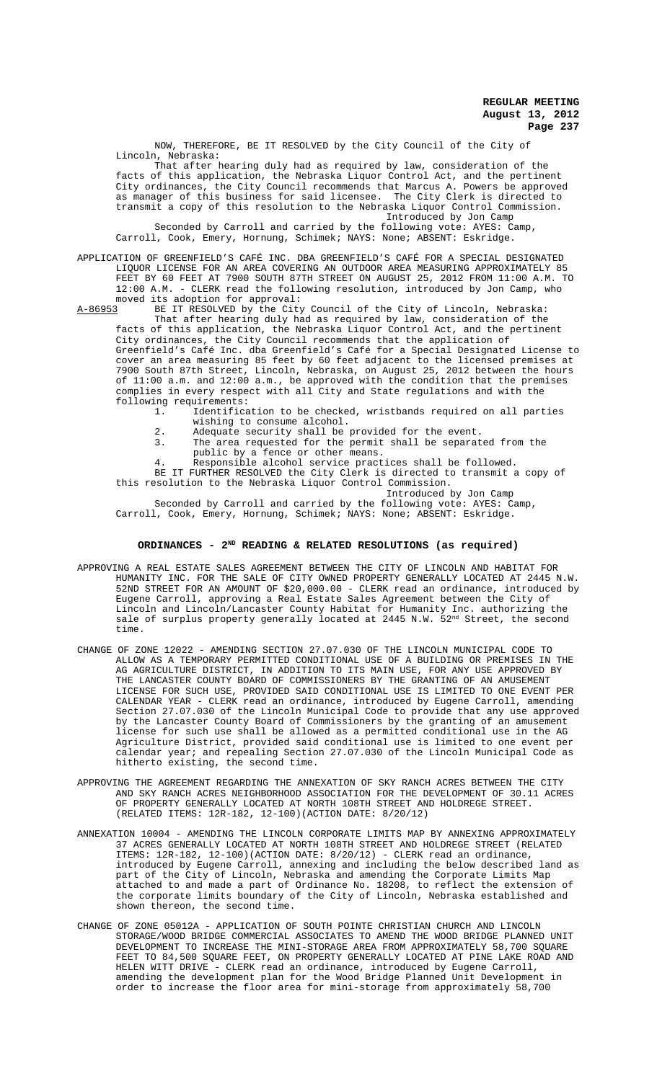NOW, THEREFORE, BE IT RESOLVED by the City Council of the City of Lincoln, Nebraska:

That after hearing duly had as required by law, consideration of the facts of this application, the Nebraska Liquor Control Act, and the pertinent the City Council recommends that Marcus A. as manager of this business for said licensee. The City Clerk is directed to transmit a copy of this resolution to the Nebraska Liquor Control Commission. Introduced by Jon Camp

Seconded by Carroll and carried by the following vote: AYES: Camp, Carroll, Cook, Emery, Hornung, Schimek; NAYS: None; ABSENT: Eskridge.

APPLICATION OF GREENFIELD'S CAFÉ INC. DBA GREENFIELD'S CAFÉ FOR A SPECIAL DESIGNATED LIQUOR LICENSE FOR AN AREA COVERING AN OUTDOOR AREA MEASURING APPROXIMATELY 85 FEET BY 60 FEET AT 7900 SOUTH 87TH STREET ON AUGUST 25, 2012 FROM 11:00 A.M. TO 12:00 A.M. - CLERK read the following resolution, introduced by Jon Camp, who moved its adoption for approval:<br>A-86953 BE IT RESOLVED by the City

BE IT RESOLVED by the City Council of the City of Lincoln, Nebraska: That after hearing duly had as required by law, consideration of the facts of this application, the Nebraska Liquor Control Act, and the pertinent City ordinances, the City Council recommends that the application of Greenfield's Café Inc. dba Greenfield's Café for a Special Designated License to cover an area measuring 85 feet by 60 feet adjacent to the licensed premises at 7900 South 87th Street, Lincoln, Nebraska, on August 25, 2012 between the hours of 11:00 a.m. and 12:00 a.m., be approved with the condition that the premises complies in every respect with all City and State regulations and with the following requirements:

1. Identification to be checked, wristbands required on all parties wishing to consume alcohol.

- 2. Adequate security shall be provided for the event.<br>3. The area requested for the permit shall be separat
- 3. The area requested for the permit shall be separated from the public by a fence or other means.

4. Responsible alcohol service practices shall be followed.

BE IT FURTHER RESOLVED the City Clerk is directed to transmit a copy of this resolution to the Nebraska Liquor Control Commission.

Introduced by Jon Camp Seconded by Carroll and carried by the following vote: AYES: Camp, Carroll, Cook, Emery, Hornung, Schimek; NAYS: None; ABSENT: Eskridge.

# **ORDINANCES - 2ND READING & RELATED RESOLUTIONS (as required)**

- APPROVING A REAL ESTATE SALES AGREEMENT BETWEEN THE CITY OF LINCOLN AND HABITAT FOR HUMANITY INC. FOR THE SALE OF CITY OWNED PROPERTY GENERALLY LOCATED AT 2445 N.W. 52ND STREET FOR AN AMOUNT OF \$20,000.00 - CLERK read an ordinance, introduced by Eugene Carroll, approving a Real Estate Sales Agreement between the City of Lincoln and Lincoln/Lancaster County Habitat for Humanity Inc. authorizing the sale of surplus property generally located at 2445 N.W. 52<sup>nd</sup> Street, the second time.
- CHANGE OF ZONE 12022 AMENDING SECTION 27.07.030 OF THE LINCOLN MUNICIPAL CODE TO ALLOW AS A TEMPORARY PERMITTED CONDITIONAL USE OF A BUILDING OR PREMISES IN THE AG AGRICULTURE DISTRICT, IN ADDITION TO ITS MAIN USE, FOR ANY USE APPROVED BY THE LANCASTER COUNTY BOARD OF COMMISSIONERS BY THE GRANTING OF AN AMUSEMENT LICENSE FOR SUCH USE, PROVIDED SAID CONDITIONAL USE IS LIMITED TO ONE EVENT PER CALENDAR YEAR - CLERK read an ordinance, introduced by Eugene Carroll, amending Section 27.07.030 of the Lincoln Municipal Code to provide that any use approved by the Lancaster County Board of Commissioners by the granting of an amusement license for such use shall be allowed as a permitted conditional use in the AG Agriculture District, provided said conditional use is limited to one event per calendar year; and repealing Section 27.07.030 of the Lincoln Municipal Code as hitherto existing, the second time.
- APPROVING THE AGREEMENT REGARDING THE ANNEXATION OF SKY RANCH ACRES BETWEEN THE CITY AND SKY RANCH ACRES NEIGHBORHOOD ASSOCIATION FOR THE DEVELOPMENT OF 30.11 ACRES OF PROPERTY GENERALLY LOCATED AT NORTH 108TH STREET AND HOLDREGE STREET. (RELATED ITEMS: 12R-182, 12-100)(ACTION DATE: 8/20/12)
- ANNEXATION 10004 AMENDING THE LINCOLN CORPORATE LIMITS MAP BY ANNEXING APPROXIMATELY 37 ACRES GENERALLY LOCATED AT NORTH 108TH STREET AND HOLDREGE STREET (RELATED ITEMS: 12R-182, 12-100)(ACTION DATE: 8/20/12) - CLERK read an ordinance, introduced by Eugene Carroll, annexing and including the below described land as part of the City of Lincoln, Nebraska and amending the Corporate Limits Map attached to and made a part of Ordinance No. 18208, to reflect the extension of the corporate limits boundary of the City of Lincoln, Nebraska established and shown thereon, the second time.
- CHANGE OF ZONE 05012A APPLICATION OF SOUTH POINTE CHRISTIAN CHURCH AND LINCOLN STORAGE/WOOD BRIDGE COMMERCIAL ASSOCIATES TO AMEND THE WOOD BRIDGE PLANNED UNIT DEVELOPMENT TO INCREASE THE MINI-STORAGE AREA FROM APPROXIMATELY 58,700 SQUARE FEET TO 84,500 SQUARE FEET, ON PROPERTY GENERALLY LOCATED AT PINE LAKE ROAD AND HELEN WITT DRIVE - CLERK read an ordinance, introduced by Eugene Carroll, amending the development plan for the Wood Bridge Planned Unit Development in order to increase the floor area for mini-storage from approximately 58,700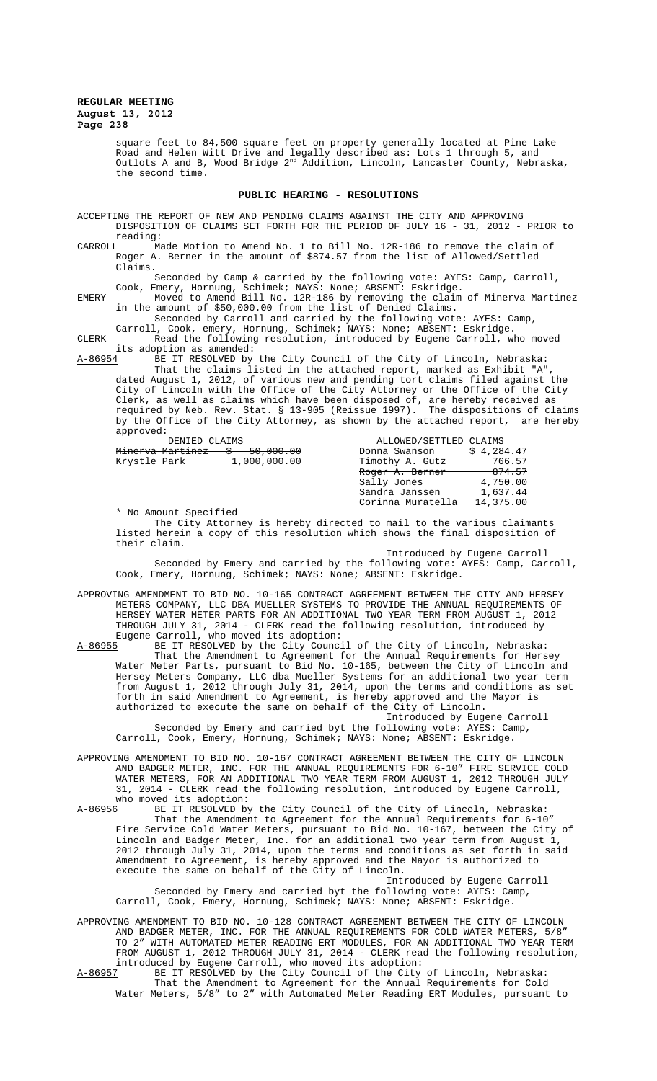> square feet to 84,500 square feet on property generally located at Pine Lake Road and Helen Witt Drive and legally described as: Lots 1 through 5, and Outlots A and B, Wood Bridge  $2^{\text{nd}}$  Addition, Lincoln, Lancaster County, Nebraska, the second time.

#### **PUBLIC HEARING - RESOLUTIONS**

ACCEPTING THE REPORT OF NEW AND PENDING CLAIMS AGAINST THE CITY AND APPROVING DISPOSITION OF CLAIMS SET FORTH FOR THE PERIOD OF JULY 16 - 31, 2012 - PRIOR to reading:<br>CARROLL Ma

CARROLL Made Motion to Amend No. 1 to Bill No. 12R-186 to remove the claim of Roger A. Berner in the amount of \$874.57 from the list of Allowed/Settled Claims.

Seconded by Camp & carried by the following vote: AYES: Camp, Carroll, Cook, Emery, Hornung, Schimek; NAYS: None; ABSENT: Eskridge.

EMERY Moved to Amend Bill No. 12R-186 by removing the claim of Minerva Martinez in the amount of \$50,000.00 from the list of Denied Claims.

Seconded by Carroll and carried by the following vote: AYES: Camp, Carroll, Cook, emery, Hornung, Schimek; NAYS: None; ABSENT: Eskridge.

CLERK Read the following resolution, introduced by Eugene Carroll, who moved its adoption as amended:<br>A-86954 BE IT RESOLVED by

A-86954 BE IT RESOLVED by the City Council of the City of Lincoln, Nebraska: That the claims listed in the attached report, marked as Exhibit "A", dated August 1, 2012, of various new and pending tort claims filed against the City of Lincoln with the Office of the City Attorney or the Office of the City Clerk, as well as claims which have been disposed of, are hereby received as required by Neb. Rev. Stat. § 13-905 (Reissue 1997). The dispositions of claims by the Office of the City Attorney, as shown by the attached report, are hereby approved:

| DENIED CLAIMS |  |                               | ALLOWED/SETTLED CLAIMS     |            |
|---------------|--|-------------------------------|----------------------------|------------|
|               |  | Minerva Martinez \$ 50,000.00 | Donna Swanson              | \$4.284.47 |
| Krystle Park  |  | 1,000,000.00                  | Timothy A. Gutz            | 766.57     |
|               |  |                               | <del>Roger A. Berner</del> | 874.57     |
|               |  |                               | Sally Jones                | 4,750.00   |
|               |  |                               | Sandra Janssen             | 1,637.44   |
|               |  |                               | Corinna Muratella          | 14,375.00  |

\* No Amount Specified

The City Attorney is hereby directed to mail to the various claimants listed herein a copy of this resolution which shows the final disposition of their claim.

Introduced by Eugene Carroll Seconded by Emery and carried by the following vote: AYES: Camp, Carroll, Cook, Emery, Hornung, Schimek; NAYS: None; ABSENT: Eskridge.

APPROVING AMENDMENT TO BID NO. 10-165 CONTRACT AGREEMENT BETWEEN THE CITY AND HERSEY METERS COMPANY, LLC DBA MUELLER SYSTEMS TO PROVIDE THE ANNUAL REQUIREMENTS OF HERSEY WATER METER PARTS FOR AN ADDITIONAL TWO YEAR TERM FROM AUGUST 1, 2012 THROUGH JULY 31, 2014 - CLERK read the following resolution, introduced by Eugene Carroll, who moved its adoption:<br>A-86955 BE IT RESOLVED by the City Counc:

A-86955 BE IT RESOLVED by the City Council of the City of Lincoln, Nebraska: That the Amendment to Agreement for the Annual Requirements for Hersey Water Meter Parts, pursuant to Bid No. 10-165, between the City of Lincoln and Hersey Meters Company, LLC dba Mueller Systems for an additional two year term from August 1, 2012 through July 31, 2014, upon the terms and conditions as set forth in said Amendment to Agreement, is hereby approved and the Mayor is authorized to execute the same on behalf of the City of Lincoln.

Introduced by Eugene Carroll Seconded by Emery and carried byt the following vote: AYES: Camp, Carroll, Cook, Emery, Hornung, Schimek; NAYS: None; ABSENT: Eskridge.

APPROVING AMENDMENT TO BID NO. 10-167 CONTRACT AGREEMENT BETWEEN THE CITY OF LINCOLN AND BADGER METER, INC. FOR THE ANNUAL REQUIREMENTS FOR 6-10" FIRE SERVICE COLD WATER METERS, FOR AN ADDITIONAL TWO YEAR TERM FROM AUGUST 1, 2012 THROUGH JULY 31, 2014 - CLERK read the following resolution, introduced by Eugene Carroll, who moved its adoption:<br>A-86956 BE IT RESOLVED by

A-86956 BE IT RESOLVED by the City Council of the City of Lincoln, Nebraska: That the Amendment to Agreement for the Annual Requirements for 6-10" Fire Service Cold Water Meters, pursuant to Bid No. 10-167, between the City of Lincoln and Badger Meter, Inc. for an additional two year term from August 1, 2012 through July 31, 2014, upon the terms and conditions as set forth in said Amendment to Agreement, is hereby approved and the Mayor is authorized to execute the same on behalf of the City of Lincoln.

Introduced by Eugene Carroll Seconded by Emery and carried byt the following vote: AYES: Camp, Carroll, Cook, Emery, Hornung, Schimek; NAYS: None; ABSENT: Eskridge.

APPROVING AMENDMENT TO BID NO. 10-128 CONTRACT AGREEMENT BETWEEN THE CITY OF LINCOLN AND BADGER METER, INC. FOR THE ANNUAL REQUIREMENTS FOR COLD WATER METERS, 5/8" TO 2" WITH AUTOMATED METER READING ERT MODULES, FOR AN ADDITIONAL TWO YEAR TERM FROM AUGUST 1, 2012 THROUGH JULY 31, 2014 - CLERK read the following resolution, introduced by Eugene Carroll, who moved its adoption:

A-86957 BE IT RESOLVED by the City Council of the City of Lincoln, Nebraska: That the Amendment to Agreement for the Annual Requirements for Cold Water Meters, 5/8" to 2" with Automated Meter Reading ERT Modules, pursuant to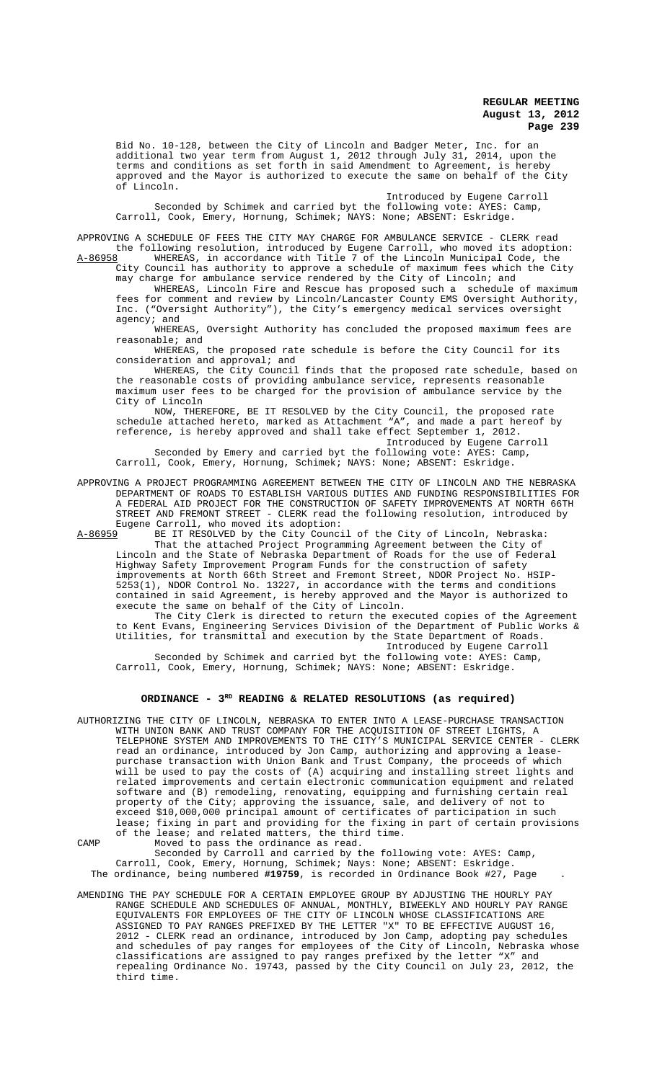Bid No. 10-128, between the City of Lincoln and Badger Meter, Inc. for an additional two year term from August 1, 2012 through July 31, 2014, upon the terms and conditions as set forth in said Amendment to Agreement, is hereby approved and the Mayor is authorized to execute the same on behalf of the City of Lincoln.

Introduced by Eugene Carroll

Seconded by Schimek and carried byt the following vote: AYES: Camp, Carroll, Cook, Emery, Hornung, Schimek; NAYS: None; ABSENT: Eskridge.

APPROVING A SCHEDULE OF FEES THE CITY MAY CHARGE FOR AMBULANCE SERVICE - CLERK read the following resolution, introduced by Eugene Carroll, who moved its adoption:<br>A-86958 WHEREAS, in accordance with Title 7 of the Lincoln Municipal Code, the WHEREAS, in accordance with Title 7 of the Lincoln Municipal Code, the

City Council has authority to approve a schedule of maximum fees which the City may charge for ambulance service rendered by the City of Lincoln; and

WHEREAS, Lincoln Fire and Rescue has proposed such a schedule of maximum fees for comment and review by Lincoln/Lancaster County EMS Oversight Authority, Inc. ("Oversight Authority"), the City's emergency medical services oversight agency; and

WHEREAS, Oversight Authority has concluded the proposed maximum fees are reasonable; and

WHEREAS, the proposed rate schedule is before the City Council for its consideration and approval; and

WHEREAS, the City Council finds that the proposed rate schedule, based on the reasonable costs of providing ambulance service, represents reasonable maximum user fees to be charged for the provision of ambulance service by the City of Lincoln

NOW, THEREFORE, BE IT RESOLVED by the City Council, the proposed rate schedule attached hereto, marked as Attachment "A", and made a part hereof by reference, is hereby approved and shall take effect September 1, 2012.

Introduced by Eugene Carroll

Seconded by Emery and carried byt the following vote: AYES: Camp, Carroll, Cook, Emery, Hornung, Schimek; NAYS: None; ABSENT: Eskridge.

APPROVING A PROJECT PROGRAMMING AGREEMENT BETWEEN THE CITY OF LINCOLN AND THE NEBRASKA DEPARTMENT OF ROADS TO ESTABLISH VARIOUS DUTIES AND FUNDING RESPONSIBILITIES FOR A FEDERAL AID PROJECT FOR THE CONSTRUCTION OF SAFETY IMPROVEMENTS AT NORTH 66TH STREET AND FREMONT STREET - CLERK read the following resolution, introduced by Eugene Carroll, who moved its adoption:<br>A-86959 BE IT RESOLVED by the City Counc:

A-86959 BE IT RESOLVED by the City Council of the City of Lincoln, Nebraska: That the attached Project Programming Agreement between the City of Lincoln and the State of Nebraska Department of Roads for the use of Federal Highway Safety Improvement Program Funds for the construction of safety<br>improvements at North 66th Street and Fremont Street, NDOR Project No. HSIPimprovements at North 66th Street and Fremont Street, NDOR Project No. 5253(1), NDOR Control No. 13227, in accordance with the terms and conditions contained in said Agreement, is hereby approved and the Mayor is authorized to execute the same on behalf of the City of Lincoln.

The City Clerk is directed to return the executed copies of the Agreement to Kent Evans, Engineering Services Division of the Department of Public Works & Utilities, for transmittal and execution by the State Department of Roads. Introduced by Eugene Carroll

Seconded by Schimek and carried byt the following vote: AYES: Camp, Carroll, Cook, Emery, Hornung, Schimek; NAYS: None; ABSENT: Eskridge.

# ORDINANCE - 3<sup>RD</sup> READING & RELATED RESOLUTIONS (as required)

AUTHORIZING THE CITY OF LINCOLN, NEBRASKA TO ENTER INTO A LEASE-PURCHASE TRANSACTION WITH UNION BANK AND TRUST COMPANY FOR THE ACQUISITION OF STREET LIGHTS, A TELEPHONE SYSTEM AND IMPROVEMENTS TO THE CITY'S MUNICIPAL SERVICE CENTER - CLERK read an ordinance, introduced by Jon Camp, authorizing and approving a leasepurchase transaction with Union Bank and Trust Company, the proceeds of which will be used to pay the costs of (A) acquiring and installing street lights and related improvements and certain electronic communication equipment and related software and (B) remodeling, renovating, equipping and furnishing certain real property of the City; approving the issuance, sale, and delivery of not to exceed \$10,000,000 principal amount of certificates of participation in such lease; fixing in part and providing for the fixing in part of certain provisions of the lease; and related matters, the third time.

CAMP Moved to pass the ordinance as read. Seconded by Carroll and carried by the following vote: AYES: Camp, Carroll, Cook, Emery, Hornung, Schimek; Nays: None; ABSENT: Eskridge. The ordinance, being numbered **#19759**, is recorded in Ordinance Book #27, Page .

AMENDING THE PAY SCHEDULE FOR A CERTAIN EMPLOYEE GROUP BY ADJUSTING THE HOURLY PAY RANGE SCHEDULE AND SCHEDULES OF ANNUAL, MONTHLY, BIWEEKLY AND HOURLY PAY RANGE EQUIVALENTS FOR EMPLOYEES OF THE CITY OF LINCOLN WHOSE CLASSIFICATIONS ARE ASSIGNED TO PAY RANGES PREFIXED BY THE LETTER "X" TO BE EFFECTIVE AUGUST 16, 2012 - CLERK read an ordinance, introduced by Jon Camp, adopting pay schedules and schedules of pay ranges for employees of the City of Lincoln, Nebraska whose classifications are assigned to pay ranges prefixed by the letter "X" and repealing Ordinance No. 19743, passed by the City Council on July 23, 2012, the third time.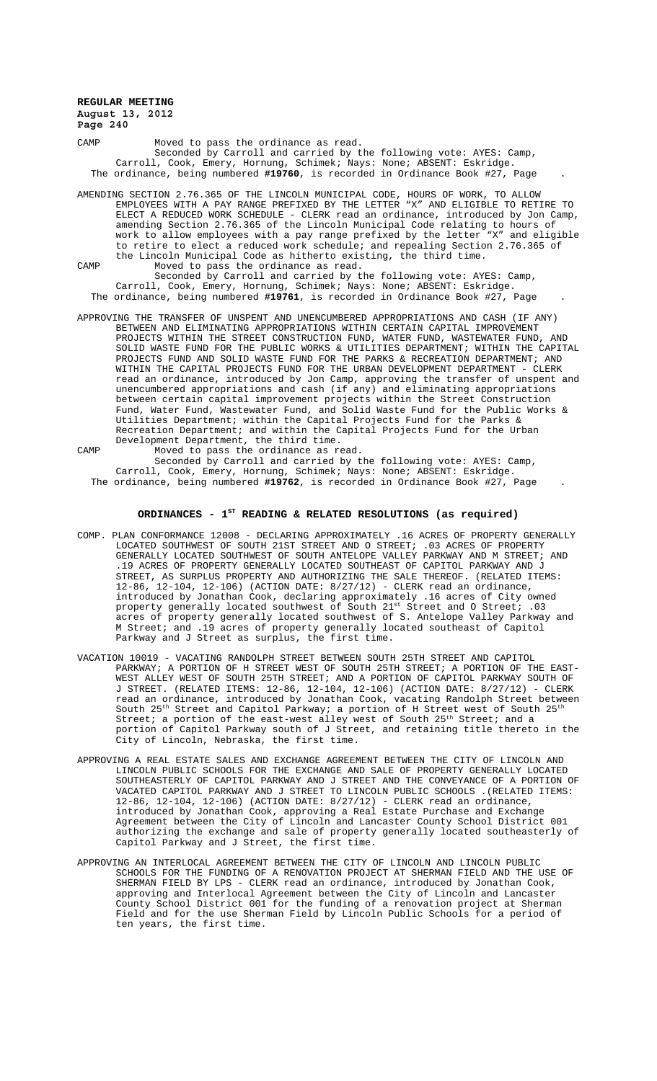CAMP Moved to pass the ordinance as read. Seconded by Carroll and carried by the following vote: AYES: Camp, Carroll, Cook, Emery, Hornung, Schimek; Nays: None; ABSENT: Eskridge. The ordinance, being numbered **#19760**, is recorded in Ordinance Book #27, Page .

AMENDING SECTION 2.76.365 OF THE LINCOLN MUNICIPAL CODE, HOURS OF WORK, TO ALLOW EMPLOYEES WITH A PAY RANGE PREFIXED BY THE LETTER "X" AND ELIGIBLE TO RETIRE TO ELECT A REDUCED WORK SCHEDULE - CLERK read an ordinance, introduced by Jon Camp, amending Section 2.76.365 of the Lincoln Municipal Code relating to hours of work to allow employees with a pay range prefixed by the letter "X" and eligible to retire to elect a reduced work schedule; and repealing Section 2.76.365 of the Lincoln Municipal Code as hitherto existing, the third time.

CAMP Moved to pass the ordinance as read.

Seconded by Carroll and carried by the following vote: AYES: Camp, Carroll, Cook, Emery, Hornung, Schimek; Nays: None; ABSENT: Eskridge. The ordinance, being numbered **#19761**, is recorded in Ordinance Book #27, Page .

- APPROVING THE TRANSFER OF UNSPENT AND UNENCUMBERED APPROPRIATIONS AND CASH (IF ANY) BETWEEN AND ELIMINATING APPROPRIATIONS WITHIN CERTAIN CAPITAL IMPROVEMENT PROJECTS WITHIN THE STREET CONSTRUCTION FUND, WATER FUND, WASTEWATER FUND, AND SOLID WASTE FUND FOR THE PUBLIC WORKS & UTILITIES DEPARTMENT; WITHIN THE CAPITAL PROJECTS FUND AND SOLID WASTE FUND FOR THE PARKS & RECREATION DEPARTMENT; AND WITHIN THE CAPITAL PROJECTS FUND FOR THE URBAN DEVELOPMENT DEPARTMENT - CLERK read an ordinance, introduced by Jon Camp, approving the transfer of unspent and unencumbered appropriations and cash (if any) and eliminating appropriations between certain capital improvement projects within the Street Construction Fund, Water Fund, Wastewater Fund, and Solid Waste Fund for the Public Works & Utilities Department; within the Capital Projects Fund for the Parks & Recreation Department; and within the Capital Projects Fund for the Urban Development Department, the third time.
- CAMP Moved to pass the ordinance as read. Seconded by Carroll and carried by the following vote: AYES: Camp, Carroll, Cook, Emery, Hornung, Schimek; Nays: None; ABSENT: Eskridge.
	- The ordinance, being numbered **#19762**, is recorded in Ordinance Book #27, Page .

# **ORDINANCES - 1ST READING & RELATED RESOLUTIONS (as required)**

- COMP. PLAN CONFORMANCE 12008 DECLARING APPROXIMATELY .16 ACRES OF PROPERTY GENERALLY LOCATED SOUTHWEST OF SOUTH 21ST STREET AND O STREET; .03 ACRES OF PROPERTY GENERALLY LOCATED SOUTHWEST OF SOUTH ANTELOPE VALLEY PARKWAY AND M STREET; AND .19 ACRES OF PROPERTY GENERALLY LOCATED SOUTHEAST OF CAPITOL PARKWAY AND J STREET, AS SURPLUS PROPERTY AND AUTHORIZING THE SALE THEREOF. (RELATED ITEMS: 12-86, 12-104, 12-106) (ACTION DATE: 8/27/12) - CLERK read an ordinance, introduced by Jonathan Cook, declaring approximately .16 acres of City owned property generally located southwest of South  $21^{st}$  Street and O Street; .03 acres of property generally located southwest of S. Antelope Valley Parkway and M Street; and .19 acres of property generally located southeast of Capitol Parkway and J Street as surplus, the first time.
- VACATION 10019 VACATING RANDOLPH STREET BETWEEN SOUTH 25TH STREET AND CAPITOL PARKWAY; A PORTION OF H STREET WEST OF SOUTH 25TH STREET; A PORTION OF THE EAST-WEST ALLEY WEST OF SOUTH 25TH STREET; AND A PORTION OF CAPITOL PARKWAY SOUTH OF J STREET. (RELATED ITEMS: 12-86, 12-104, 12-106) (ACTION DATE: 8/27/12) - CLERK read an ordinance, introduced by Jonathan Cook, vacating Randolph Street between South 25<sup>th</sup> Street and Capitol Parkway; a portion of H Street west of South 25<sup>th</sup> Street; a portion of the east-west alley west of South  $25^{\rm th}$  Street; and a portion of Capitol Parkway south of J Street, and retaining title thereto in the City of Lincoln, Nebraska, the first time.
- APPROVING A REAL ESTATE SALES AND EXCHANGE AGREEMENT BETWEEN THE CITY OF LINCOLN AND LINCOLN PUBLIC SCHOOLS FOR THE EXCHANGE AND SALE OF PROPERTY GENERALLY LOCATED SOUTHEASTERLY OF CAPITOL PARKWAY AND J STREET AND THE CONVEYANCE OF A PORTION OF VACATED CAPITOL PARKWAY AND J STREET TO LINCOLN PUBLIC SCHOOLS .(RELATED ITEMS: 12-86, 12-104, 12-106) (ACTION DATE: 8/27/12) - CLERK read an ordinance, introduced by Jonathan Cook, approving a Real Estate Purchase and Exchange Agreement between the City of Lincoln and Lancaster County School District 001 authorizing the exchange and sale of property generally located southeasterly of Capitol Parkway and J Street, the first time.
- APPROVING AN INTERLOCAL AGREEMENT BETWEEN THE CITY OF LINCOLN AND LINCOLN PUBLIC SCHOOLS FOR THE FUNDING OF A RENOVATION PROJECT AT SHERMAN FIELD AND THE USE OF SHERMAN FIELD BY LPS - CLERK read an ordinance, introduced by Jonathan Cook, approving and Interlocal Agreement between the City of Lincoln and Lancaster County School District 001 for the funding of a renovation project at Sherman Field and for the use Sherman Field by Lincoln Public Schools for a period of ten years, the first time.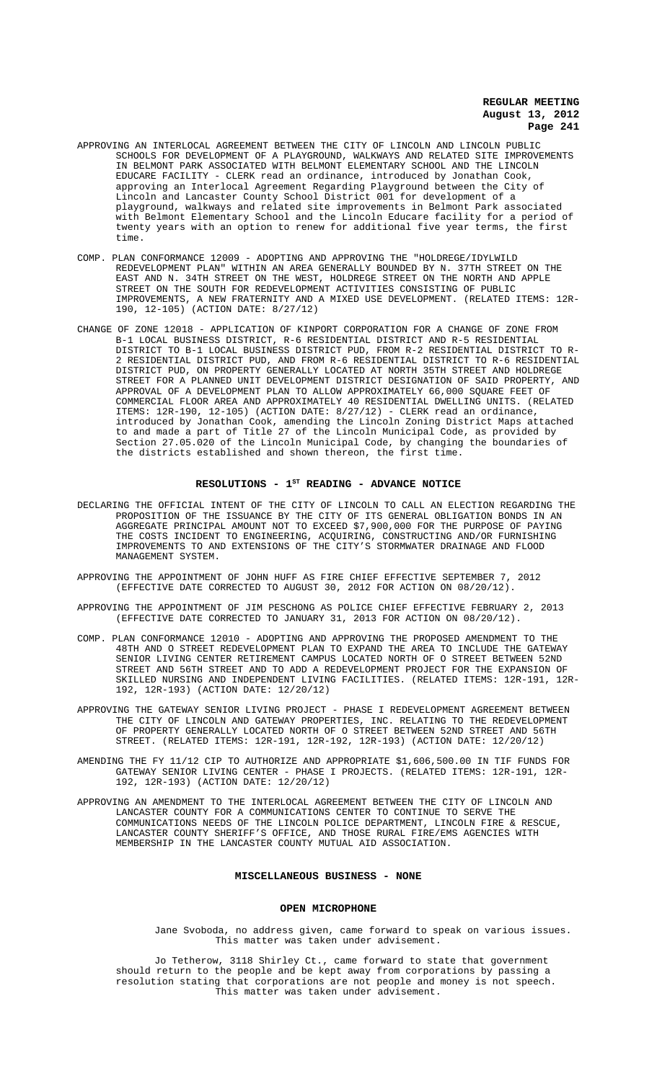- APPROVING AN INTERLOCAL AGREEMENT BETWEEN THE CITY OF LINCOLN AND LINCOLN PUBLIC SCHOOLS FOR DEVELOPMENT OF A PLAYGROUND, WALKWAYS AND RELATED SITE IMPROVEMENTS IN BELMONT PARK ASSOCIATED WITH BELMONT ELEMENTARY SCHOOL AND THE LINCOLN EDUCARE FACILITY - CLERK read an ordinance, introduced by Jonathan Cook, approving an Interlocal Agreement Regarding Playground between the City of Lincoln and Lancaster County School District 001 for development of a playground, walkways and related site improvements in Belmont Park associated with Belmont Elementary School and the Lincoln Educare facility for a period of twenty years with an option to renew for additional five year terms, the first time.
- COMP. PLAN CONFORMANCE 12009 ADOPTING AND APPROVING THE "HOLDREGE/IDYLWILD REDEVELOPMENT PLAN" WITHIN AN AREA GENERALLY BOUNDED BY N. 37TH STREET ON THE EAST AND N. 34TH STREET ON THE WEST, HOLDREGE STREET ON THE NORTH AND APPLE STREET ON THE SOUTH FOR REDEVELOPMENT ACTIVITIES CONSISTING OF PUBLIC IMPROVEMENTS, A NEW FRATERNITY AND A MIXED USE DEVELOPMENT. (RELATED ITEMS: 12R-190, 12-105) (ACTION DATE: 8/27/12)
- CHANGE OF ZONE 12018 APPLICATION OF KINPORT CORPORATION FOR A CHANGE OF ZONE FROM B-1 LOCAL BUSINESS DISTRICT, R-6 RESIDENTIAL DISTRICT AND R-5 RESIDENTIAL DISTRICT TO B-1 LOCAL BUSINESS DISTRICT PUD, FROM R-2 RESIDENTIAL DISTRICT TO R-2 RESIDENTIAL DISTRICT PUD, AND FROM R-6 RESIDENTIAL DISTRICT TO R-6 RESIDENTIAL DISTRICT PUD, ON PROPERTY GENERALLY LOCATED AT NORTH 35TH STREET AND HOLDREGE STREET FOR A PLANNED UNIT DEVELOPMENT DISTRICT DESIGNATION OF SAID PROPERTY, AND APPROVAL OF A DEVELOPMENT PLAN TO ALLOW APPROXIMATELY 66,000 SQUARE FEET OF COMMERCIAL FLOOR AREA AND APPROXIMATELY 40 RESIDENTIAL DWELLING UNITS. (RELATED ITEMS: 12R-190, 12-105) (ACTION DATE: 8/27/12) - CLERK read an ordinance, introduced by Jonathan Cook, amending the Lincoln Zoning District Maps attached to and made a part of Title 27 of the Lincoln Municipal Code, as provided by Section 27.05.020 of the Lincoln Municipal Code, by changing the boundaries of the districts established and shown thereon, the first time.

# RESOLUTIONS - 1<sup>st</sup> READING - ADVANCE NOTICE

- DECLARING THE OFFICIAL INTENT OF THE CITY OF LINCOLN TO CALL AN ELECTION REGARDING THE PROPOSITION OF THE ISSUANCE BY THE CITY OF ITS GENERAL OBLIGATION BONDS IN AN AGGREGATE PRINCIPAL AMOUNT NOT TO EXCEED \$7,900,000 FOR THE PURPOSE OF PAYING THE COSTS INCIDENT TO ENGINEERING, ACQUIRING, CONSTRUCTING AND/OR FURNISHING IMPROVEMENTS TO AND EXTENSIONS OF THE CITY'S STORMWATER DRAINAGE AND FLOOD MANAGEMENT SYSTEM.
- APPROVING THE APPOINTMENT OF JOHN HUFF AS FIRE CHIEF EFFECTIVE SEPTEMBER 7, 2012 (EFFECTIVE DATE CORRECTED TO AUGUST 30, 2012 FOR ACTION ON 08/20/12).
- APPROVING THE APPOINTMENT OF JIM PESCHONG AS POLICE CHIEF EFFECTIVE FEBRUARY 2, 2013 (EFFECTIVE DATE CORRECTED TO JANUARY 31, 2013 FOR ACTION ON 08/20/12).
- COMP. PLAN CONFORMANCE 12010 ADOPTING AND APPROVING THE PROPOSED AMENDMENT TO THE 48TH AND O STREET REDEVELOPMENT PLAN TO EXPAND THE AREA TO INCLUDE THE GATEWAY SENIOR LIVING CENTER RETIREMENT CAMPUS LOCATED NORTH OF O STREET BETWEEN 52ND STREET AND 56TH STREET AND TO ADD A REDEVELOPMENT PROJECT FOR THE EXPANSION OF SKILLED NURSING AND INDEPENDENT LIVING FACILITIES. (RELATED ITEMS: 12R-191, 12R-192, 12R-193) (ACTION DATE: 12/20/12)
- APPROVING THE GATEWAY SENIOR LIVING PROJECT PHASE I REDEVELOPMENT AGREEMENT BETWEEN THE CITY OF LINCOLN AND GATEWAY PROPERTIES, INC. RELATING TO THE REDEVELOPMENT OF PROPERTY GENERALLY LOCATED NORTH OF O STREET BETWEEN 52ND STREET AND 56TH STREET. (RELATED ITEMS: 12R-191, 12R-192, 12R-193) (ACTION DATE: 12/20/12)
- AMENDING THE FY 11/12 CIP TO AUTHORIZE AND APPROPRIATE \$1,606,500.00 IN TIF FUNDS FOR GATEWAY SENIOR LIVING CENTER - PHASE I PROJECTS. (RELATED ITEMS: 12R-191, 12R-192, 12R-193) (ACTION DATE: 12/20/12)
- APPROVING AN AMENDMENT TO THE INTERLOCAL AGREEMENT BETWEEN THE CITY OF LINCOLN AND LANCASTER COUNTY FOR A COMMUNICATIONS CENTER TO CONTINUE TO SERVE THE COMMUNICATIONS NEEDS OF THE LINCOLN POLICE DEPARTMENT, LINCOLN FIRE & RESCUE, LANCASTER COUNTY SHERIFF'S OFFICE, AND THOSE RURAL FIRE/EMS AGENCIES WITH MEMBERSHIP IN THE LANCASTER COUNTY MUTUAL AID ASSOCIATION.

#### **MISCELLANEOUS BUSINESS - NONE**

#### **OPEN MICROPHONE**

Jane Svoboda, no address given, came forward to speak on various issues. This matter was taken under advisement.

Jo Tetherow, 3118 Shirley Ct., came forward to state that government should return to the people and be kept away from corporations by passing a resolution stating that corporations are not people and money is not speech. This matter was taken under advisement.